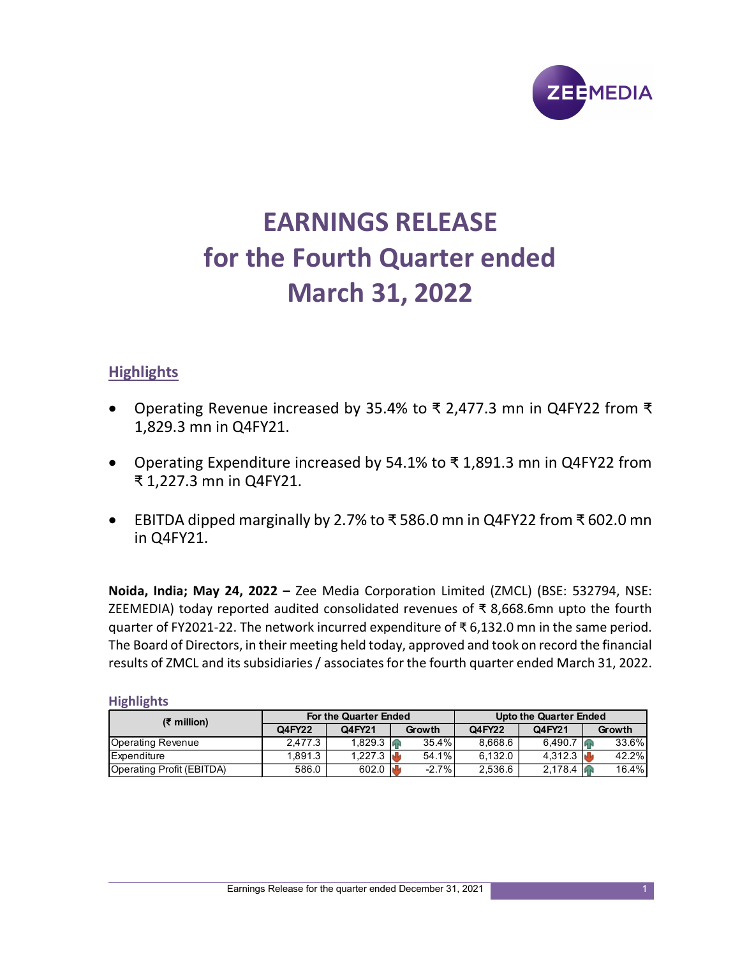

# EARNINGS RELEASE for the Fourth Quarter ended March 31, 2022

# **Highlights**

- Operating Revenue increased by 35.4% to ₹ 2,477.3 mn in Q4FY22 from ₹ 1,829.3 mn in Q4FY21.
- Operating Expenditure increased by 54.1% to ₹ 1,891.3 mn in Q4FY22 from ₹ 1,227.3 mn in Q4FY21.
- EBITDA dipped marginally by 2.7% to ₹ 586.0 mn in Q4FY22 from ₹ 602.0 mn in Q4FY21.

Noida, India; May 24, 2022 – Zee Media Corporation Limited (ZMCL) (BSE: 532794, NSE: ZEEMEDIA) today reported audited consolidated revenues of ₹ 8,668.6mn upto the fourth quarter of FY2021-22. The network incurred expenditure of ₹ 6,132.0 mn in the same period. The Board of Directors, in their meeting held today, approved and took on record the financial results of ZMCL and its subsidiaries / associates for the fourth quarter ended March 31, 2022. Q4FY22 Q4FY21 Growth Q4FY22 Q4FY21 Growth 4,529.3 fm in Q4FY21.<br>
• Operating Expenditure increased by 54.1% to ₹1,891.3 mn in Q4FY22 from<br>
₹1,227.3 mn in Q4FY21.<br>
• EBITDA dipped marginally by 2.7% to ₹586.0 mn in Q4FY22 from ₹602.0 mn<br>
in Q4FY21.<br>
• CBITDA dip • Operating Expenditure increased by 54.1% to ₹ 1,891.3 mn in Q4FY22 from<br>
₹ 1,227.3 mn in Q4FY21.<br>
• EBITDA dipped marginally by 2.7% to ₹ 586.0 mn in Q4FY22 from ₹ 602.0 mn<br>
in Q4FY21.<br>
Noida, India; May 24, 2022 – Ze • Operating Expenditure increased by 54.1% to ₹1,891.3 mn in Q4FY22 from<br>
₹1,227.3 mn in Q4FY21.<br>
• EBITDA dipped marginally by 2.7% to ₹586.0 mn in Q4FY22 from ₹602.0 mn<br>
in Q4FY21.<br>
• CBITDA dipped marginally by 2.7% **Experime increased by 35.4% to ₹ 2,477.3 mn in Q4FY22 from ₹<br>
9.3 mn in Q4FY21.**<br> **CAMA**<br> **CAMA**<br> **CAMA**<br> **CAMA**<br> **CAMA**<br> **CAMA**<br> **CAMA**<br> **CAMA**<br> **CAMA**<br> **CAMA**<br> **CAMA**<br> **CAMA**<br> **CAMA**<br> **CAMA**<br> **CAMA**<br> **CAMA**<br> **CAMA**<br>

| $(5$ million)             |         | For the Quarter Ended  |          | <b>Upto the Quarter Ended</b> |         |        |  |  |
|---------------------------|---------|------------------------|----------|-------------------------------|---------|--------|--|--|
|                           | Q4FY22  | Q4FY21                 | Growth   | Q4FY22                        | Q4FY21  | Growth |  |  |
| <b>Operating Revenue</b>  | 2.477.3 | 1,829.3 $\sqrt{ }$     | 35.4%    | 8,668.6                       | 6,490.7 | 33.6%  |  |  |
| Expenditure               | 1.891.3 | 1.227.3 $\blacksquare$ | 54.1%    | 6.132.0                       | 4.312.3 | 42.2%  |  |  |
| Operating Profit (EBITDA) | 586.0   | 602.0 $\mathbf{u}$     | $-2.7\%$ | 2,536.6                       | 2,178.4 | 16.4%  |  |  |

## **Highlights**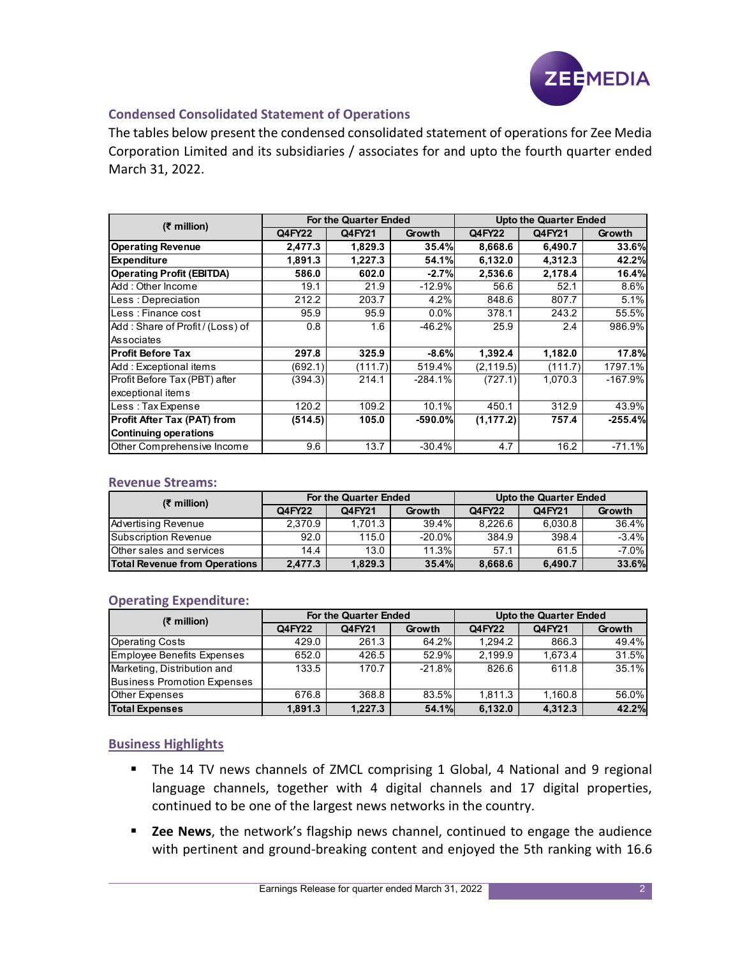

## Condensed Consolidated Statement of Operations

|                                                                                             |         |                       |           |            |                               | <b>ZEEMEDIA</b> |
|---------------------------------------------------------------------------------------------|---------|-----------------------|-----------|------------|-------------------------------|-----------------|
|                                                                                             |         |                       |           |            |                               |                 |
|                                                                                             |         |                       |           |            |                               |                 |
| <b>Condensed Consolidated Statement of Operations</b>                                       |         |                       |           |            |                               |                 |
|                                                                                             |         |                       |           |            |                               |                 |
| The tables below present the condensed consolidated statement of operations for Zee Media   |         |                       |           |            |                               |                 |
| Corporation Limited and its subsidiaries / associates for and upto the fourth quarter ended |         |                       |           |            |                               |                 |
|                                                                                             |         |                       |           |            |                               |                 |
| March 31, 2022.                                                                             |         |                       |           |            |                               |                 |
|                                                                                             |         |                       |           |            |                               |                 |
|                                                                                             |         |                       |           |            |                               |                 |
|                                                                                             |         | For the Quarter Ended |           |            | <b>Upto the Quarter Ended</b> |                 |
| (₹ million)                                                                                 | Q4FY22  | Q4FY21                | Growth    | Q4FY22     | Q4FY21                        | Growth          |
| <b>Operating Revenue</b>                                                                    | 2,477.3 | 1,829.3               | 35.4%     | 8,668.6    | 6,490.7                       | 33.6%           |
|                                                                                             |         | 1,227.3               | 54.1%     | 6,132.0    |                               | 42.2%           |
| <b>Expenditure</b>                                                                          | 1,891.3 |                       |           |            | 4,312.3                       |                 |
| <b>Operating Profit (EBITDA)</b>                                                            | 586.0   | 602.0                 | $-2.7%$   | 2,536.6    | 2,178.4                       | 16.4%           |
| Add: Other Income                                                                           | 19.1    | 21.9                  | $-12.9%$  | 56.6       | 52.1                          | 8.6%            |
| Less : Depreciation                                                                         | 212.2   | 203.7                 | 4.2%      | 848.6      | 807.7                         | 5.1%            |
| Less : Finance cost                                                                         | 95.9    | 95.9                  | 0.0%      | 378.1      | 243.2                         | 55.5%           |
| Add: Share of Profit / (Loss) of                                                            | 0.8     | 1.6                   | $-46.2%$  | 25.9       | 2.4                           | 986.9%          |
| Associates                                                                                  |         |                       |           |            |                               |                 |
| <b>Profit Before Tax</b>                                                                    | 297.8   | 325.9                 | $-8.6%$   | 1,392.4    | 1,182.0                       | 17.8%           |
| Add: Exceptional items                                                                      | (692.1) | (111.7)               | 519.4%    | (2, 119.5) | (111.7)                       | 1797.1%         |
| Profit Before Tax (PBT) after                                                               | (394.3) | 214.1                 | $-284.1%$ | (727.1)    | 1,070.3                       | $-167.9%$       |
| exceptional items                                                                           |         |                       |           |            |                               |                 |
| Less: Tax Expense                                                                           | 120.2   | 109.2                 | 10.1%     | 450.1      | 312.9                         | 43.9%           |
| Profit After Tax (PAT) from                                                                 | (514.5) | 105.0                 | $-590.0%$ | (1, 177.2) | 757.4                         | $-255.4%$       |
| <b>Continuing operations</b>                                                                |         |                       |           |            |                               |                 |
| Other Comprehensive Income                                                                  | 9.6     | 13.7                  | $-30.4%$  | 4.7        | 16.2                          | $-71.1%$        |
|                                                                                             |         |                       |           |            |                               |                 |
|                                                                                             |         |                       |           |            |                               |                 |
| <b>Revenue Streams:</b>                                                                     |         |                       |           |            |                               |                 |
| $(5)$ million)                                                                              |         | For the Quarter Ended |           |            | <b>Upto the Quarter Ended</b> |                 |
|                                                                                             | Q4FY22  | Q4FY21                | Growth    | Q4FY22     | Q4FY21                        | Growth          |
| <b>Advertising Revenue</b>                                                                  | 2,370.9 | 1,701.3               | 39.4%     | 8,226.6    | 6,030.8                       | 36.4%           |
| <b>Subscription Revenue</b>                                                                 | 92.0    | 115.0                 | $-20.0%$  | 384.9      | 398.4                         | $-3.4%$         |
| Other sales and services                                                                    | 14.4    | 13.0                  | 11.3%     | 57.1       | 61.5                          | $-7.0\%$        |
| <b>Total Revenue from Operations</b>                                                        | 2,477.3 | 1,829.3               | 35.4%     | 8,668.6    | 6,490.7                       | 33.6%           |
|                                                                                             |         |                       |           |            |                               |                 |
|                                                                                             |         |                       |           |            |                               |                 |
|                                                                                             |         |                       |           |            |                               |                 |
| <b>Operating Expenditure:</b>                                                               |         | For the Quarter Ended |           |            | <b>Upto the Quarter Ended</b> |                 |
|                                                                                             |         |                       |           | Q4FY22     | Q4FY21                        | Growth          |
| $(5)$ million)                                                                              | Q4FY22  | Q4FY21                | Growth    |            |                               |                 |
| <b>Operating Costs</b>                                                                      | 429.0   | 261.3                 | 64.2%     | 1,294.2    | 866.3                         | 49.4%           |
| <b>Employee Benefits Expenses</b>                                                           | 652.0   | 426.5                 | 52.9%     | 2,199.9    | 1,673.4                       | 31.5%           |
| Marketing, Distribution and                                                                 | 133.5   | 170.7                 | $-21.8%$  | 826.6      | 611.8                         | 35.1%           |
| <b>Business Promotion Expenses</b>                                                          |         |                       |           |            |                               |                 |
| Other Expenses                                                                              | 676.8   | 368.8                 | 83.5%     | 1,811.3    | 1,160.8                       | 56.0%           |

#### Revenue Streams:

| $(5$ million)                        |         | <b>For the Quarter Ended</b> |           |         | <b>Upto the Quarter Ended</b> |          |
|--------------------------------------|---------|------------------------------|-----------|---------|-------------------------------|----------|
|                                      | Q4FY22  | Q4FY21                       | Growth    | Q4FY22  | Q4FY21                        | Growth   |
| Advertising Revenue                  | 2.370.9 | 1.701.3                      | 39.4%     | 8.226.6 | 6.030.8                       | 36.4%    |
| <b>Subscription Revenue</b>          | 92.0    | 115.0                        | $-20.0\%$ | 384.9   | 398.4                         | $-3.4%$  |
| Other sales and services             | 14.4    | 13.0                         | 11.3%     | 57.1    | 61.5                          | $-7.0\%$ |
| <b>Total Revenue from Operations</b> | 2.477.3 | 1.829.3                      | 35.4%     | 8.668.6 | 6.490.7                       | 33.6%    |

## Operating Expenditure:

|                                                                                                                          | 297.8           | 325.9                 | -8.6%          | 1,392.4          | 1,182.0                       | 17.8%            |
|--------------------------------------------------------------------------------------------------------------------------|-----------------|-----------------------|----------------|------------------|-------------------------------|------------------|
| Add: Exceptional items                                                                                                   | (692.1)         | (111.7)               | 519.4%         | (2, 119.5)       | (111.7)                       | 1797.1%          |
| Profit Before Tax (PBT) after                                                                                            | (394.3)         | 214.1                 | $-284.1%$      | (727.1)          | 1,070.3                       | $-167.9%$        |
| exceptional items                                                                                                        |                 |                       |                |                  |                               |                  |
| Less: Tax Expense                                                                                                        | 120.2           | 109.2                 | 10.1%          | 450.1            | 312.9                         | 43.9%            |
| <b>Profit After Tax (PAT) from</b>                                                                                       | (514.5)         | 105.0                 | $-590.0%$      | (1, 177.2)       | 757.4                         | $-255.4%$        |
| <b>Continuing operations</b>                                                                                             |                 |                       |                |                  |                               |                  |
| Other Comprehensive Income                                                                                               | 9.6             | 13.7                  | $-30.4%$       | 4.7              | 16.2                          | $-71.1%$         |
| <b>Revenue Streams:</b>                                                                                                  |                 | For the Quarter Ended |                |                  | <b>Upto the Quarter Ended</b> |                  |
| $(5$ million)                                                                                                            | Q4FY22          | Q4FY21                | Growth         | Q4FY22           | Q4FY21                        | Growth           |
|                                                                                                                          | 2,370.9         | 1,701.3               | 39.4%          | 8,226.6          | 6,030.8                       | 36.4%            |
|                                                                                                                          |                 |                       |                | 384.9            | 398.4                         | $-3.4%$          |
| Advertising Revenue                                                                                                      |                 |                       |                |                  |                               |                  |
| <b>Subscription Revenue</b>                                                                                              | 92.0            | 115.0                 | $-20.0%$       |                  |                               |                  |
| Other sales and services<br><b>Total Revenue from Operations</b>                                                         | 14.4<br>2,477.3 | 13.0<br>1,829.3       | 11.3%<br>35.4% | 57.1<br>8,668.6  | 61.5<br>6,490.7               | $-7.0%$<br>33.6% |
| <b>Operating Expenditure:</b>                                                                                            |                 |                       |                |                  |                               |                  |
| $(5)$ million)                                                                                                           |                 | For the Quarter Ended |                |                  | <b>Upto the Quarter Ended</b> |                  |
|                                                                                                                          | Q4FY22          | Q4FY21                | Growth         | Q4FY22           | Q4FY21                        | Growth           |
| <b>Operating Costs</b>                                                                                                   | 429.0           | 261.3                 | 64.2%<br>52.9% | 1,294.2          | 866.3                         | 49.4%            |
|                                                                                                                          | 652.0           | 426.5<br>170.7        | $-21.8%$       | 2,199.9<br>826.6 | 1,673.4<br>611.8              | 31.5%<br>35.1%   |
|                                                                                                                          | 133.5           |                       |                |                  |                               |                  |
| <b>Employee Benefits Expenses</b><br>Marketing, Distribution and<br><b>Business Promotion Expenses</b><br>Other Expenses | 676.8           | 368.8                 | 83.5%          | 1,811.3          | 1,160.8                       | 56.0%            |

## Business Highlights

- The 14 TV news channels of ZMCL comprising 1 Global, 4 National and 9 regional language channels, together with 4 digital channels and 17 digital properties, continued to be one of the largest news networks in the country.
- E Zee News, the network's flagship news channel, continued to engage the audience with pertinent and ground-breaking content and enjoyed the 5th ranking with 16.6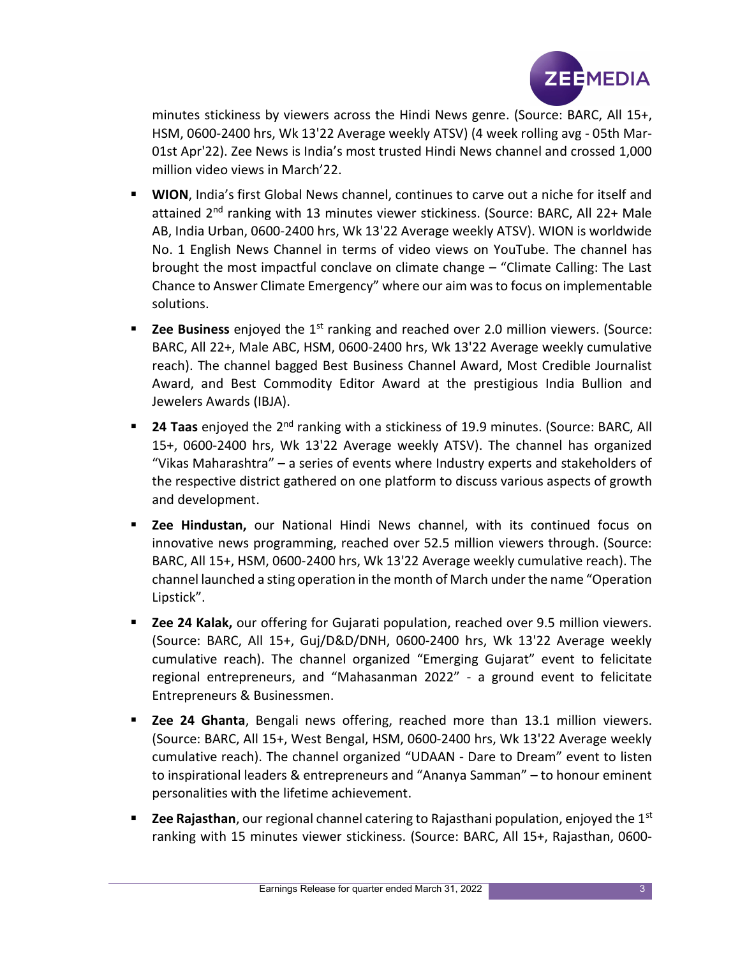

minutes stickiness by viewers across the Hindi News genre. (Source: BARC, All 15+, HSM, 0600-2400 hrs, Wk 13'22 Average weekly ATSV) (4 week rolling avg - 05th Mar-01st Apr'22). Zee News is India's most trusted Hindi News channel and crossed 1,000 million video views in March'22.

- **WION, India's first Global News channel, continues to carve out a niche for itself and** attained 2<sup>nd</sup> ranking with 13 minutes viewer stickiness. (Source: BARC, All 22+ Male AB, India Urban, 0600-2400 hrs, Wk 13'22 Average weekly ATSV). WION is worldwide No. 1 English News Channel in terms of video views on YouTube. The channel has brought the most impactful conclave on climate change – "Climate Calling: The Last Chance to Answer Climate Emergency" where our aim was to focus on implementable solutions.
- **Zee Business** enjoyed the  $1<sup>st</sup>$  ranking and reached over 2.0 million viewers. (Source: BARC, All 22+, Male ABC, HSM, 0600-2400 hrs, Wk 13'22 Average weekly cumulative reach). The channel bagged Best Business Channel Award, Most Credible Journalist Award, and Best Commodity Editor Award at the prestigious India Bullion and Jewelers Awards (IBJA).
- **24 Taas** enjoyed the  $2^{nd}$  ranking with a stickiness of 19.9 minutes. (Source: BARC, All 15+, 0600-2400 hrs, Wk 13'22 Average weekly ATSV). The channel has organized "Vikas Maharashtra" – a series of events where Industry experts and stakeholders of the respective district gathered on one platform to discuss various aspects of growth and development.
- **E** Zee Hindustan, our National Hindi News channel, with its continued focus on innovative news programming, reached over 52.5 million viewers through. (Source: BARC, All 15+, HSM, 0600-2400 hrs, Wk 13'22 Average weekly cumulative reach). The channel launched a sting operation in the month of March under the name "Operation Lipstick".
- **EXEM** 24 Kalak, our offering for Gujarati population, reached over 9.5 million viewers. (Source: BARC, All 15+, Guj/D&D/DNH, 0600-2400 hrs, Wk 13'22 Average weekly cumulative reach). The channel organized "Emerging Gujarat" event to felicitate regional entrepreneurs, and "Mahasanman 2022" - a ground event to felicitate Entrepreneurs & Businessmen.
- **E** Zee 24 Ghanta, Bengali news offering, reached more than 13.1 million viewers. (Source: BARC, All 15+, West Bengal, HSM, 0600-2400 hrs, Wk 13'22 Average weekly cumulative reach). The channel organized "UDAAN - Dare to Dream" event to listen to inspirational leaders & entrepreneurs and "Ananya Samman" – to honour eminent personalities with the lifetime achievement.
- **EXECT** 2 **EXECT** 2 **CONSTERNAL CHANNET ASSESS** 2.5 **CONSTERNAL FOR EXECT** 1.5 **C** EXECTS 2.5 **C** EXECTS ranking with 15 minutes viewer stickiness. (Source: BARC, All 15+, Rajasthan, 0600-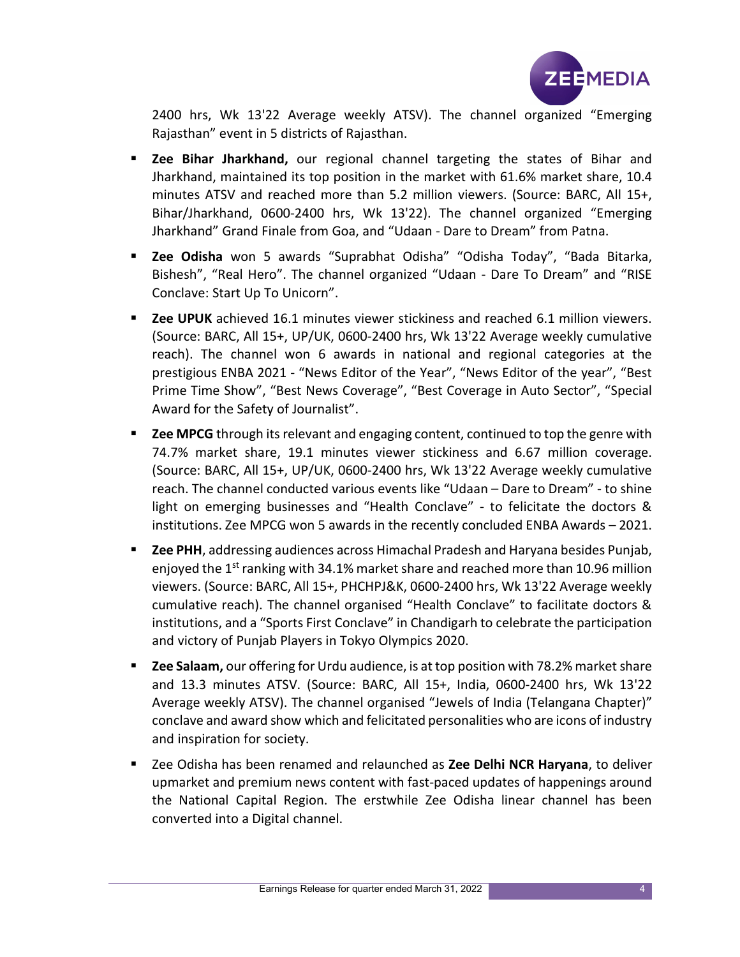

2400 hrs, Wk 13'22 Average weekly ATSV). The channel organized "Emerging Rajasthan" event in 5 districts of Rajasthan.

- **Exect Bihar Jharkhand,** our regional channel targeting the states of Bihar and Jharkhand, maintained its top position in the market with 61.6% market share, 10.4 minutes ATSV and reached more than 5.2 million viewers. (Source: BARC, All 15+, Bihar/Jharkhand, 0600-2400 hrs, Wk 13'22). The channel organized "Emerging Jharkhand" Grand Finale from Goa, and "Udaan - Dare to Dream" from Patna.
- **E** Zee Odisha won 5 awards "Suprabhat Odisha" "Odisha Today", "Bada Bitarka, Bishesh", "Real Hero". The channel organized "Udaan - Dare To Dream" and "RISE Conclave: Start Up To Unicorn".
- **EXECT 2.5 THE VERGIVE 2016** The UPUK achiever stickiness and reached 6.1 million viewers. (Source: BARC, All 15+, UP/UK, 0600-2400 hrs, Wk 13'22 Average weekly cumulative reach). The channel won 6 awards in national and regional categories at the prestigious ENBA 2021 - "News Editor of the Year", "News Editor of the year", "Best Prime Time Show", "Best News Coverage", "Best Coverage in Auto Sector", "Special Award for the Safety of Journalist".
- **EXECT** 2 **EXECT** through its relevant and engaging content, continued to top the genre with 74.7% market share, 19.1 minutes viewer stickiness and 6.67 million coverage. (Source: BARC, All 15+, UP/UK, 0600-2400 hrs, Wk 13'22 Average weekly cumulative reach. The channel conducted various events like "Udaan – Dare to Dream" - to shine light on emerging businesses and "Health Conclave" - to felicitate the doctors & institutions. Zee MPCG won 5 awards in the recently concluded ENBA Awards – 2021.
- **E** Zee PHH, addressing audiences across Himachal Pradesh and Haryana besides Punjab, enjoyed the 1<sup>st</sup> ranking with 34.1% market share and reached more than 10.96 million viewers. (Source: BARC, All 15+, PHCHPJ&K, 0600-2400 hrs, Wk 13'22 Average weekly cumulative reach). The channel organised "Health Conclave" to facilitate doctors & institutions, and a "Sports First Conclave" in Chandigarh to celebrate the participation and victory of Punjab Players in Tokyo Olympics 2020.
- **EXECT** 2 **Zee Salaam,** our offering for Urdu audience, is at top position with 78.2% market share and 13.3 minutes ATSV. (Source: BARC, All 15+, India, 0600-2400 hrs, Wk 13'22 Average weekly ATSV). The channel organised "Jewels of India (Telangana Chapter)" conclave and award show which and felicitated personalities who are icons of industry and inspiration for society.
- E Zee Odisha has been renamed and relaunched as Zee Delhi NCR Haryana, to deliver upmarket and premium news content with fast-paced updates of happenings around the National Capital Region. The erstwhile Zee Odisha linear channel has been converted into a Digital channel.